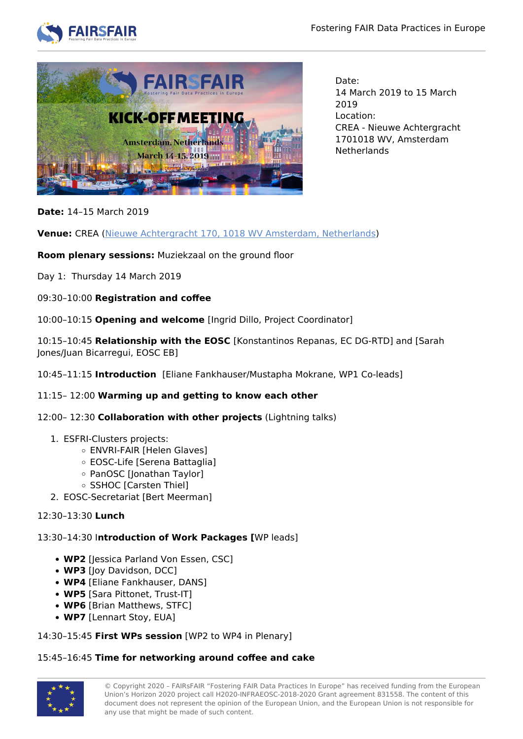



Date: 14 March 2019 to 15 March 2019 Location: CREA - Nieuwe Achtergracht 1701018 WV, Amsterdam **Netherlands** 

**Date:** 14–15 March 2019

**Venue:** CREA ([Nieuwe Achtergracht 170, 1018 WV Amsterdam, Netherlands\)](https://goo.gl/maps/vRZbkZ6pqc12)

**Room plenary sessions:** Muziekzaal on the ground floor

Day 1: Thursday 14 March 2019

09:30–10:00 **Registration and coffee**

10:00–10:15 **Opening and welcome** [Ingrid Dillo, Project Coordinator]

10:15–10:45 **Relationship with the EOSC** [Konstantinos Repanas, EC DG-RTD] and [Sarah Jones/Juan Bicarregui, EOSC EB]

10:45–11:15 **Introduction** [Eliane Fankhauser/Mustapha Mokrane, WP1 Co-leads]

# 11:15– 12:00 **Warming up and getting to know each other**

12:00– 12:30 **Collaboration with other projects** (Lightning talks)

- 1. ESFRI-Clusters projects:
	- ENVRI-FAIR [Helen Glaves]
	- EOSC-Life [Serena Battaglia]
	- PanOSC [Jonathan Taylor]
	- o SSHOC [Carsten Thiel]
- 2. EOSC-Secretariat [Bert Meerman]

# 12:30–13:30 **Lunch**

13:30–14:30 I**ntroduction of Work Packages [**WP leads]

- **WP2** [Jessica Parland Von Essen, CSC]
- **WP3** [Joy Davidson, DCC]
- **WP4** [Eliane Fankhauser, DANS]
- **WP5** [Sara Pittonet, Trust-IT]
- **WP6** [Brian Matthews, STFC]
- **WP7** [Lennart Stoy, EUA]

14:30–15:45 **First WPs session** [WP2 to WP4 in Plenary]

# 15:45–16:45 **Time for networking around coffee and cake**